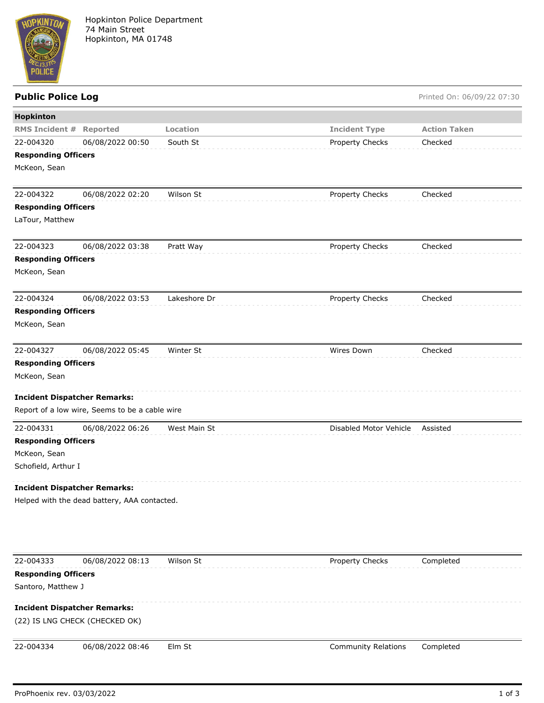

## Public Police Log **Public Police Log** Printed On: 06/09/22 07:30

| Hopkinton                                        |                                                |              |                            |                     |  |  |
|--------------------------------------------------|------------------------------------------------|--------------|----------------------------|---------------------|--|--|
| <b>RMS Incident #</b>                            | Reported                                       | Location     | <b>Incident Type</b>       | <b>Action Taken</b> |  |  |
| 22-004320                                        | 06/08/2022 00:50                               | South St     | Property Checks            | Checked             |  |  |
| <b>Responding Officers</b>                       |                                                |              |                            |                     |  |  |
| McKeon, Sean                                     |                                                |              |                            |                     |  |  |
|                                                  |                                                |              |                            |                     |  |  |
| 22-004322                                        | 06/08/2022 02:20                               | Wilson St    | Property Checks            | Checked             |  |  |
| <b>Responding Officers</b>                       |                                                |              |                            |                     |  |  |
| LaTour, Matthew                                  |                                                |              |                            |                     |  |  |
| 22-004323                                        | 06/08/2022 03:38                               | Pratt Way    | Property Checks            | Checked             |  |  |
| <b>Responding Officers</b>                       |                                                |              |                            |                     |  |  |
| McKeon, Sean                                     |                                                |              |                            |                     |  |  |
|                                                  |                                                |              |                            |                     |  |  |
| 22-004324                                        | 06/08/2022 03:53                               | Lakeshore Dr | Property Checks            | Checked             |  |  |
| <b>Responding Officers</b>                       |                                                |              |                            |                     |  |  |
| McKeon, Sean                                     |                                                |              |                            |                     |  |  |
|                                                  |                                                |              |                            |                     |  |  |
| 22-004327                                        | 06/08/2022 05:45                               | Winter St    | Wires Down                 | Checked             |  |  |
| <b>Responding Officers</b>                       |                                                |              |                            |                     |  |  |
| McKeon, Sean                                     |                                                |              |                            |                     |  |  |
| <b>Incident Dispatcher Remarks:</b>              |                                                |              |                            |                     |  |  |
|                                                  | Report of a low wire, Seems to be a cable wire |              |                            |                     |  |  |
| 22-004331                                        | 06/08/2022 06:26                               | West Main St | Disabled Motor Vehicle     | Assisted            |  |  |
| <b>Responding Officers</b>                       |                                                |              |                            |                     |  |  |
| McKeon, Sean                                     |                                                |              |                            |                     |  |  |
| Schofield, Arthur I                              |                                                |              |                            |                     |  |  |
| <b>Incident Dispatcher Remarks:</b>              |                                                |              |                            |                     |  |  |
| Helped with the dead battery, AAA contacted.     |                                                |              |                            |                     |  |  |
|                                                  |                                                |              |                            |                     |  |  |
|                                                  |                                                |              |                            |                     |  |  |
|                                                  |                                                |              |                            |                     |  |  |
|                                                  |                                                |              |                            |                     |  |  |
| 22-004333                                        | 06/08/2022 08:13                               | Wilson St    |                            |                     |  |  |
|                                                  |                                                |              | Property Checks            | Completed           |  |  |
| <b>Responding Officers</b><br>Santoro, Matthew J |                                                |              |                            |                     |  |  |
|                                                  |                                                |              |                            |                     |  |  |
| <b>Incident Dispatcher Remarks:</b>              |                                                |              |                            |                     |  |  |
| (22) IS LNG CHECK (CHECKED OK)                   |                                                |              |                            |                     |  |  |
| 22-004334                                        | 06/08/2022 08:46                               | Elm St       | <b>Community Relations</b> | Completed           |  |  |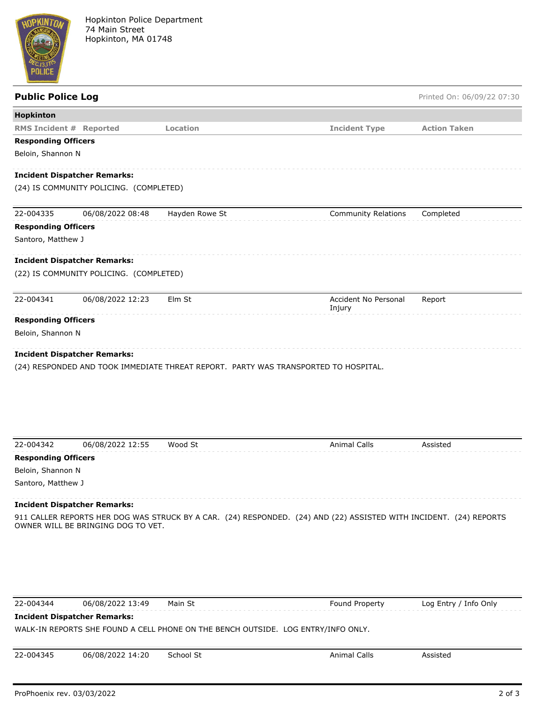

| <b>Public Police Log</b>       |                                                         |                                                                                     |                                                                                                                    | Printed On: 06/09/22 07:30 |
|--------------------------------|---------------------------------------------------------|-------------------------------------------------------------------------------------|--------------------------------------------------------------------------------------------------------------------|----------------------------|
| Hopkinton                      |                                                         |                                                                                     |                                                                                                                    |                            |
| <b>RMS Incident # Reported</b> |                                                         | Location                                                                            | <b>Incident Type</b>                                                                                               | <b>Action Taken</b>        |
| <b>Responding Officers</b>     |                                                         |                                                                                     |                                                                                                                    |                            |
| Beloin, Shannon N              |                                                         |                                                                                     |                                                                                                                    |                            |
|                                | <b>Incident Dispatcher Remarks:</b>                     |                                                                                     |                                                                                                                    |                            |
|                                | (24) IS COMMUNITY POLICING. (COMPLETED)                 |                                                                                     |                                                                                                                    |                            |
| 22-004335                      | 06/08/2022 08:48                                        | Hayden Rowe St                                                                      | <b>Community Relations</b>                                                                                         | Completed                  |
| <b>Responding Officers</b>     |                                                         |                                                                                     |                                                                                                                    |                            |
| Santoro, Matthew J             |                                                         |                                                                                     |                                                                                                                    |                            |
|                                | <b>Incident Dispatcher Remarks:</b>                     |                                                                                     |                                                                                                                    |                            |
|                                | (22) IS COMMUNITY POLICING. (COMPLETED)                 |                                                                                     |                                                                                                                    |                            |
| 22-004341                      | 06/08/2022 12:23                                        | Elm St                                                                              | Accident No Personal<br>Injury                                                                                     | Report                     |
|                                |                                                         |                                                                                     |                                                                                                                    |                            |
| <b>Responding Officers</b>     |                                                         |                                                                                     |                                                                                                                    |                            |
| Beloin, Shannon N              | <b>Incident Dispatcher Remarks:</b>                     | (24) RESPONDED AND TOOK IMMEDIATE THREAT REPORT. PARTY WAS TRANSPORTED TO HOSPITAL. |                                                                                                                    |                            |
|                                |                                                         |                                                                                     |                                                                                                                    |                            |
| 22-004342                      | 06/08/2022 12:55                                        | Wood St                                                                             | <b>Animal Calls</b>                                                                                                | Assisted                   |
| <b>Responding Officers</b>     |                                                         |                                                                                     |                                                                                                                    |                            |
| Beloin, Shannon N              |                                                         |                                                                                     |                                                                                                                    |                            |
| Santoro, Matthew J             |                                                         |                                                                                     |                                                                                                                    |                            |
|                                | <b>Incident Dispatcher Remarks:</b>                     |                                                                                     |                                                                                                                    |                            |
|                                | OWNER WILL BE BRINGING DOG TO VET.                      |                                                                                     | 911 CALLER REPORTS HER DOG WAS STRUCK BY A CAR. (24) RESPONDED. (24) AND (22) ASSISTED WITH INCIDENT. (24) REPORTS |                            |
| 22-004344                      |                                                         |                                                                                     |                                                                                                                    |                            |
|                                | 06/08/2022 13:49<br><b>Incident Dispatcher Remarks:</b> | Main St                                                                             | Found Property                                                                                                     | Log Entry / Info Only      |